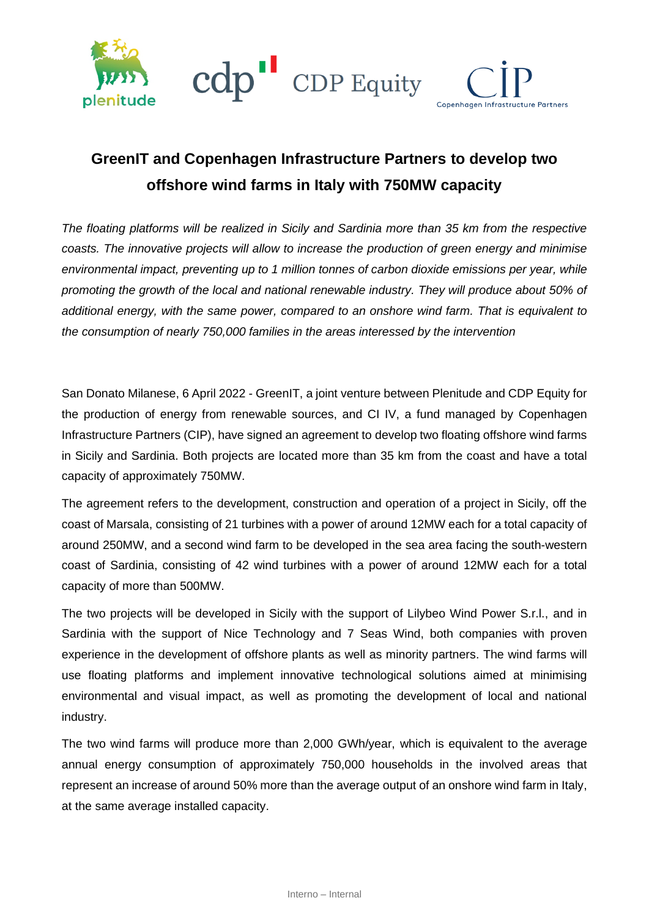

## **GreenIT and Copenhagen Infrastructure Partners to develop two offshore wind farms in Italy with 750MW capacity**

*The floating platforms will be realized in Sicily and Sardinia more than 35 km from the respective coasts. The innovative projects will allow to increase the production of green energy and minimise environmental impact, preventing up to 1 million tonnes of carbon dioxide emissions per year, while promoting the growth of the local and national renewable industry. They will produce about 50% of additional energy, with the same power, compared to an onshore wind farm. That is equivalent to the consumption of nearly 750,000 families in the areas interessed by the intervention*

San Donato Milanese, 6 April 2022 - GreenIT, a joint venture between Plenitude and CDP Equity for the production of energy from renewable sources, and CI IV, a fund managed by Copenhagen Infrastructure Partners (CIP), have signed an agreement to develop two floating offshore wind farms in Sicily and Sardinia. Both projects are located more than 35 km from the coast and have a total capacity of approximately 750MW.

The agreement refers to the development, construction and operation of a project in Sicily, off the coast of Marsala, consisting of 21 turbines with a power of around 12MW each for a total capacity of around 250MW, and a second wind farm to be developed in the sea area facing the south-western coast of Sardinia, consisting of 42 wind turbines with a power of around 12MW each for a total capacity of more than 500MW.

The two projects will be developed in Sicily with the support of Lilybeo Wind Power S.r.l., and in Sardinia with the support of Nice Technology and 7 Seas Wind, both companies with proven experience in the development of offshore plants as well as minority partners. The wind farms will use floating platforms and implement innovative technological solutions aimed at minimising environmental and visual impact, as well as promoting the development of local and national industry.

The two wind farms will produce more than 2,000 GWh/year, which is equivalent to the average annual energy consumption of approximately 750,000 households in the involved areas that represent an increase of around 50% more than the average output of an onshore wind farm in Italy, at the same average installed capacity.